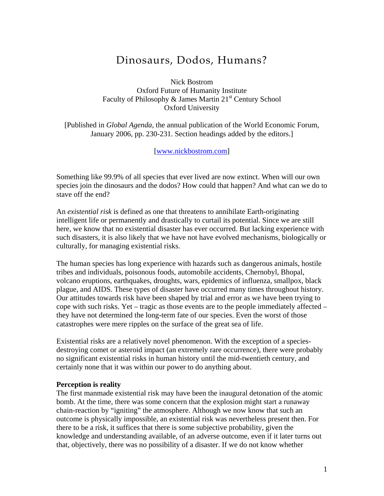## Dinosaurs, Dodos, Humans?

Nick Bostrom Oxford Future of Humanity Institute Faculty of Philosophy  $\&$  James Martin 21<sup>st</sup> Century School Oxford University

[Published in *Global Agenda*, the annual publication of the World Economic Forum, January 2006, pp. 230-231. Section headings added by the editors.]

[[www.nickbostrom.com](http://www.nickbostrom.com/)]

Something like 99.9% of all species that ever lived are now extinct. When will our own species join the dinosaurs and the dodos? How could that happen? And what can we do to stave off the end?

An *existential risk* is defined as one that threatens to annihilate Earth-originating intelligent life or permanently and drastically to curtail its potential. Since we are still here, we know that no existential disaster has ever occurred. But lacking experience with such disasters, it is also likely that we have not have evolved mechanisms, biologically or culturally, for managing existential risks.

The human species has long experience with hazards such as dangerous animals, hostile tribes and individuals, poisonous foods, automobile accidents, Chernobyl, Bhopal, volcano eruptions, earthquakes, droughts, wars, epidemics of influenza, smallpox, black plague, and AIDS. These types of disaster have occurred many times throughout history. Our attitudes towards risk have been shaped by trial and error as we have been trying to cope with such risks. Yet – tragic as those events are to the people immediately affected – they have not determined the long-term fate of our species. Even the worst of those catastrophes were mere ripples on the surface of the great sea of life.

Existential risks are a relatively novel phenomenon. With the exception of a speciesdestroying comet or asteroid impact (an extremely rare occurrence), there were probably no significant existential risks in human history until the mid-twentieth century, and certainly none that it was within our power to do anything about.

## **Perception is reality**

The first manmade existential risk may have been the inaugural detonation of the atomic bomb. At the time, there was some concern that the explosion might start a runaway chain-reaction by "igniting" the atmosphere. Although we now know that such an outcome is physically impossible, an existential risk was nevertheless present then. For there to be a risk, it suffices that there is some subjective probability, given the knowledge and understanding available, of an adverse outcome, even if it later turns out that, objectively, there was no possibility of a disaster. If we do not know whether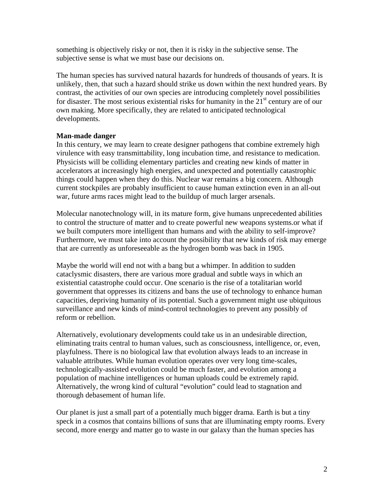something is objectively risky or not, then it is risky in the subjective sense. The subjective sense is what we must base our decisions on.

The human species has survived natural hazards for hundreds of thousands of years. It is unlikely, then, that such a hazard should strike us down within the next hundred years. By contrast, the activities of our own species are introducing completely novel possibilities for disaster. The most serious existential risks for humanity in the  $21<sup>st</sup>$  century are of our own making. More specifically, they are related to anticipated technological developments.

## **Man-made danger**

In this century, we may learn to create designer pathogens that combine extremely high virulence with easy transmittability, long incubation time, and resistance to medication. Physicists will be colliding elementary particles and creating new kinds of matter in accelerators at increasingly high energies, and unexpected and potentially catastrophic things could happen when they do this. Nuclear war remains a big concern. Although current stockpiles are probably insufficient to cause human extinction even in an all-out war, future arms races might lead to the buildup of much larger arsenals.

Molecular nanotechnology will, in its mature form, give humans unprecedented abilities to control the structure of matter and to create powerful new weapons systems.or what if we built computers more intelligent than humans and with the ability to self-improve? Furthermore, we must take into account the possibility that new kinds of risk may emerge that are currently as unforeseeable as the hydrogen bomb was back in 1905.

Maybe the world will end not with a bang but a whimper. In addition to sudden cataclysmic disasters, there are various more gradual and subtle ways in which an existential catastrophe could occur. One scenario is the rise of a totalitarian world government that oppresses its citizens and bans the use of technology to enhance human capacities, depriving humanity of its potential. Such a government might use ubiquitous surveillance and new kinds of mind-control technologies to prevent any possibly of reform or rebellion.

Alternatively, evolutionary developments could take us in an undesirable direction, eliminating traits central to human values, such as consciousness, intelligence, or, even, playfulness. There is no biological law that evolution always leads to an increase in valuable attributes. While human evolution operates over very long time-scales, technologically-assisted evolution could be much faster, and evolution among a population of machine intelligences or human uploads could be extremely rapid. Alternatively, the wrong kind of cultural "evolution" could lead to stagnation and thorough debasement of human life.

Our planet is just a small part of a potentially much bigger drama. Earth is but a tiny speck in a cosmos that contains billions of suns that are illuminating empty rooms. Every second, more energy and matter go to waste in our galaxy than the human species has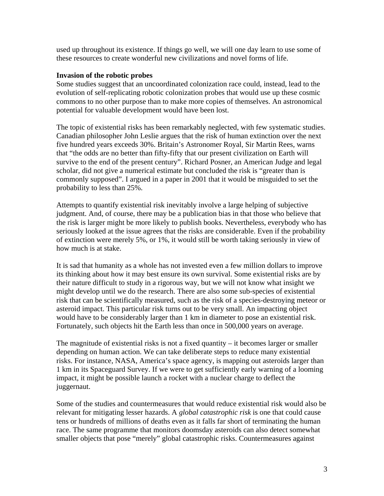used up throughout its existence. If things go well, we will one day learn to use some of these resources to create wonderful new civilizations and novel forms of life.

## **Invasion of the robotic probes**

Some studies suggest that an uncoordinated colonization race could, instead, lead to the evolution of self-replicating robotic colonization probes that would use up these cosmic commons to no other purpose than to make more copies of themselves. An astronomical potential for valuable development would have been lost.

The topic of existential risks has been remarkably neglected, with few systematic studies. Canadian philosopher John Leslie argues that the risk of human extinction over the next five hundred years exceeds 30%. Britain's Astronomer Royal, Sir Martin Rees, warns that "the odds are no better than fifty-fifty that our present civilization on Earth will survive to the end of the present century". Richard Posner, an American Judge and legal scholar, did not give a numerical estimate but concluded the risk is "greater than is commonly supposed". I argued in a paper in 2001 that it would be misguided to set the probability to less than 25%.

Attempts to quantify existential risk inevitably involve a large helping of subjective judgment. And, of course, there may be a publication bias in that those who believe that the risk is larger might be more likely to publish books. Nevertheless, everybody who has seriously looked at the issue agrees that the risks are considerable. Even if the probability of extinction were merely 5%, or 1%, it would still be worth taking seriously in view of how much is at stake.

It is sad that humanity as a whole has not invested even a few million dollars to improve its thinking about how it may best ensure its own survival. Some existential risks are by their nature difficult to study in a rigorous way, but we will not know what insight we might develop until we do the research. There are also some sub-species of existential risk that can be scientifically measured, such as the risk of a species-destroying meteor or asteroid impact. This particular risk turns out to be very small. An impacting object would have to be considerably larger than 1 km in diameter to pose an existential risk. Fortunately, such objects hit the Earth less than once in 500,000 years on average.

The magnitude of existential risks is not a fixed quantity  $-$  it becomes larger or smaller depending on human action. We can take deliberate steps to reduce many existential risks. For instance, NASA, America's space agency, is mapping out asteroids larger than 1 km in its Spaceguard Survey. If we were to get sufficiently early warning of a looming impact, it might be possible launch a rocket with a nuclear charge to deflect the juggernaut.

Some of the studies and countermeasures that would reduce existential risk would also be relevant for mitigating lesser hazards. A *global catastrophic risk* is one that could cause tens or hundreds of millions of deaths even as it falls far short of terminating the human race. The same programme that monitors doomsday asteroids can also detect somewhat smaller objects that pose "merely" global catastrophic risks. Countermeasures against